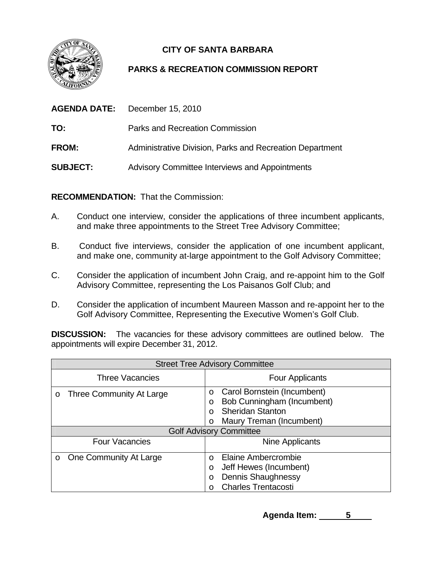

## **CITY OF SANTA BARBARA**

## **PARKS & RECREATION COMMISSION REPORT**

|                 | <b>AGENDA DATE:</b> December 15, 2010                    |
|-----------------|----------------------------------------------------------|
| TO:             | Parks and Recreation Commission                          |
| <b>FROM:</b>    | Administrative Division, Parks and Recreation Department |
| <b>SUBJECT:</b> | <b>Advisory Committee Interviews and Appointments</b>    |

**RECOMMENDATION:** That the Commission:

- A. Conduct one interview, consider the applications of three incumbent applicants, and make three appointments to the Street Tree Advisory Committee;
- B. Conduct five interviews, consider the application of one incumbent applicant, and make one, community at-large appointment to the Golf Advisory Committee;
- C. Consider the application of incumbent John Craig, and re-appoint him to the Golf Advisory Committee, representing the Los Paisanos Golf Club; and
- D. Consider the application of incumbent Maureen Masson and re-appoint her to the Golf Advisory Committee, Representing the Executive Women's Golf Club.

**DISCUSSION:** The vacancies for these advisory committees are outlined below. The appointments will expire December 31, 2012.

| <b>Street Tree Advisory Committee</b> |                                                                                                                                                    |  |  |  |
|---------------------------------------|----------------------------------------------------------------------------------------------------------------------------------------------------|--|--|--|
| <b>Three Vacancies</b>                | <b>Four Applicants</b>                                                                                                                             |  |  |  |
| Three Community At Large<br>O         | Carol Bornstein (Incumbent)<br>$\circ$<br>Bob Cunningham (Incumbent)<br>$\circ$<br><b>Sheridan Stanton</b><br>$\Omega$<br>Maury Treman (Incumbent) |  |  |  |
|                                       | <b>Golf Advisory Committee</b>                                                                                                                     |  |  |  |
| <b>Four Vacancies</b>                 | Nine Applicants                                                                                                                                    |  |  |  |
| One Community At Large<br>$\circ$     | <b>Elaine Ambercrombie</b><br>$\Omega$<br>Jeff Hewes (Incumbent)<br>$\circ$<br><b>Dennis Shaughnessy</b><br>O<br><b>Charles Trentacosti</b>        |  |  |  |

Agenda Item: 5